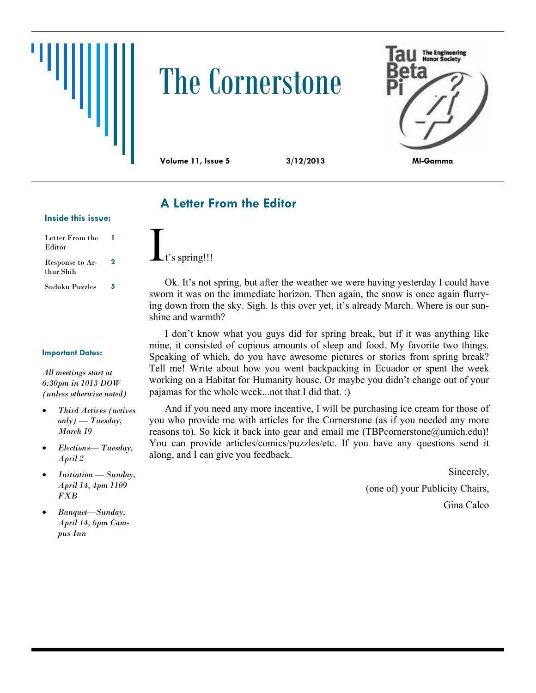# The Cornerstone



**Volume 11, Issue 5 3/12/2013 MI-Gamma**

## **A Letter From the Editor**

#### **Inside this issue:**

| Letter From the<br>Editor    | 1 |
|------------------------------|---|
| Response to Ar-<br>thur Shih | 2 |
| Sudoku Puzzles               | 5 |

t's spring!!!

Ok. It's not spring, but after the weather we were having yesterday I could have sworn it was on the immediate horizon. Then again, the snow is once again flurrying down from the sky. Sigh. Is this over yet, it's already March. Where is our sunshine and warmth?

I don't know what you guys did for spring break, but if it was anything like mine, it consisted of copious amounts of sleep and food. My favorite two things. Speaking of which, do you have awesome pictures or stories from spring break? Tell me! Write about how you went backpacking in Ecuador or spent the week working on a Habitat for Humanity house. Or maybe you didn't change out of your pajamas for the whole week...not that I did that. :)

And if you need any more incentive, I will be purchasing ice cream for those of you who provide me with articles for the Cornerstone (as if you needed any more reasons to). So kick it back into gear and email me (TBPcornerstone@umich.edu)! You can provide articles/comics/puzzles/etc. If you have any questions send it along, and I can give you feedback.

> Sincerely, (one of) your Publicity Chairs, Gina Calco

#### **Important Dates:**

*All meetings start at 6:30pm in 1013 DOW (unless otherwise noted)*

- *Third Actives (actives only) — Tuesday, March 19*
- *Elections— Tuesday, April 2*
- *Initiation — Sunday, April 14, 4pm 1109 FXB*
- *Banquet—Sunday, April 14, 6pm Campus Inn*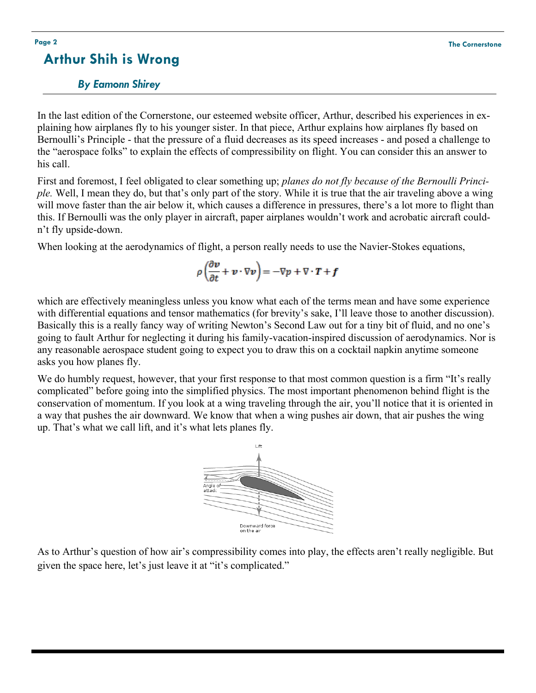## **Arthur Shih is Wrong**

### *By Eamonn Shirey*

In the last edition of the Cornerstone, our esteemed website officer, Arthur, described his experiences in explaining how airplanes fly to his younger sister. In that piece, Arthur explains how airplanes fly based on Bernoulli's Principle - that the pressure of a fluid decreases as its speed increases - and posed a challenge to the "aerospace folks" to explain the effects of compressibility on flight. You can consider this an answer to his call.

First and foremost, I feel obligated to clear something up; *planes do not fly because of the Bernoulli Principle.* Well, I mean they do, but that's only part of the story. While it is true that the air traveling above a wing will move faster than the air below it, which causes a difference in pressures, there's a lot more to flight than this. If Bernoulli was the only player in aircraft, paper airplanes wouldn't work and acrobatic aircraft couldn't fly upside-down.

When looking at the aerodynamics of flight, a person really needs to use the Navier-Stokes equations,

$$
\rho \left( \frac{\partial v}{\partial t} + v \cdot \nabla v \right) = -\nabla p + \nabla \cdot T + f
$$

which are effectively meaningless unless you know what each of the terms mean and have some experience with differential equations and tensor mathematics (for brevity's sake, I'll leave those to another discussion). Basically this is a really fancy way of writing Newton's Second Law out for a tiny bit of fluid, and no one's going to fault Arthur for neglecting it during his family-vacation-inspired discussion of aerodynamics. Nor is any reasonable aerospace student going to expect you to draw this on a cocktail napkin anytime someone asks you how planes fly.

We do humbly request, however, that your first response to that most common question is a firm "It's really complicated" before going into the simplified physics. The most important phenomenon behind flight is the conservation of momentum. If you look at a wing traveling through the air, you'll notice that it is oriented in a way that pushes the air downward. We know that when a wing pushes air down, that air pushes the wing up. That's what we call lift, and it's what lets planes fly.



As to Arthur's question of how air's compressibility comes into play, the effects aren't really negligible. But given the space here, let's just leave it at "it's complicated."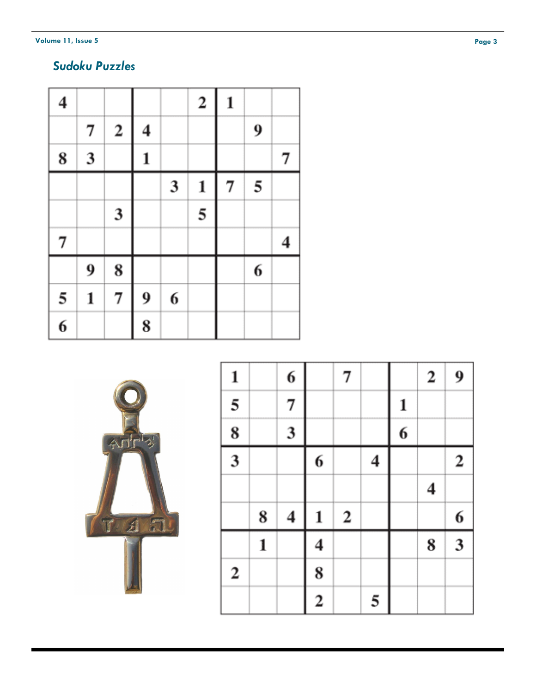**Volume 11, Issue 5** 

## *Sudoku Puzzles*

| $\overline{\mathbf{4}}$ |                         |                  |                         |   | $\overline{\mathbf{c}}$ | $\mathbf{1}$ |   |                         |
|-------------------------|-------------------------|------------------|-------------------------|---|-------------------------|--------------|---|-------------------------|
|                         | 7                       | $\boldsymbol{2}$ | $\overline{\mathbf{4}}$ |   |                         |              | 9 |                         |
| 8                       | $\overline{\mathbf{3}}$ |                  | $\mathbf 1$             |   |                         |              |   | 7                       |
|                         |                         |                  |                         | 3 | 1                       | 7            | 5 |                         |
|                         |                         | 3                |                         |   | 5                       |              |   |                         |
| 7                       |                         |                  |                         |   |                         |              |   | $\overline{\mathbf{4}}$ |
|                         | 9                       | 8                |                         |   |                         |              | 6 |                         |
| 5                       | 1                       | 7                | 9                       | 6 |                         |              |   |                         |
| $\overline{\mathbf{6}}$ |                         |                  | 8                       |   |                         |              |   |                         |



| $\mathbf{1}$            |   | 6                       |                         | 7                |   |   | $\boldsymbol{2}$ | 9                |
|-------------------------|---|-------------------------|-------------------------|------------------|---|---|------------------|------------------|
| 5                       |   | $\overline{7}$          |                         |                  |   | 1 |                  |                  |
| $\overline{\mathbf{8}}$ |   | 3                       |                         |                  |   | 6 |                  |                  |
| $\frac{1}{3}$           |   |                         | 6                       |                  | 4 |   |                  | $\boldsymbol{2}$ |
|                         |   |                         |                         |                  |   |   | $\boldsymbol{4}$ |                  |
|                         | 8 | $\overline{\mathbf{4}}$ | $\mathbf{1}$            | $\boldsymbol{2}$ |   |   |                  | 6                |
|                         | 1 |                         | 4                       |                  |   |   | 8                | 3                |
| $\boldsymbol{2}$        |   |                         | 8                       |                  |   |   |                  |                  |
|                         |   |                         | $\overline{\mathbf{c}}$ |                  | 5 |   |                  |                  |